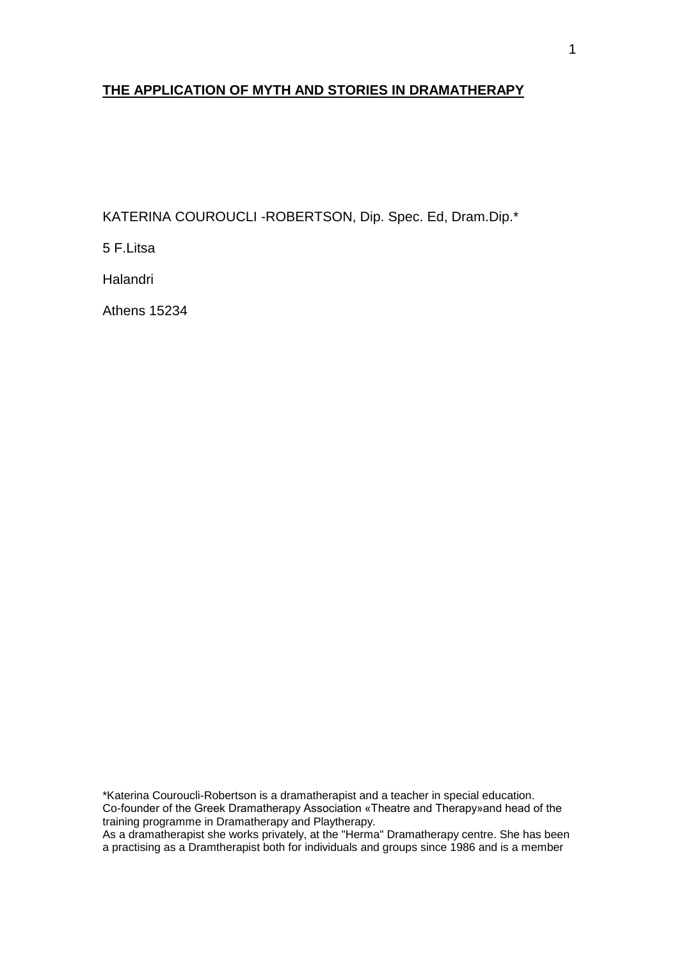# **THE APPLICATION OF MYTH AND STORIES IN DRAMATHERAPY**

KATERINA COUROUCLI -ROBERTSON, Dip. Spec. Ed, Dram.Dip.\*

5 F.Litsa

**Halandri** 

Athens 15234

\*Katerina Couroucli-Robertson is a dramatherapist and a teacher in special education. Co-founder of the Greek Dramatherapy Association «Theatre and Therapy»and head of the training programme in Dramatherapy and Playtherapy.

As a dramatherapist she works privately, at the "Herma" Dramatherapy centre. She has been a practising as a Dramtherapist both for individuals and groups since 1986 and is a member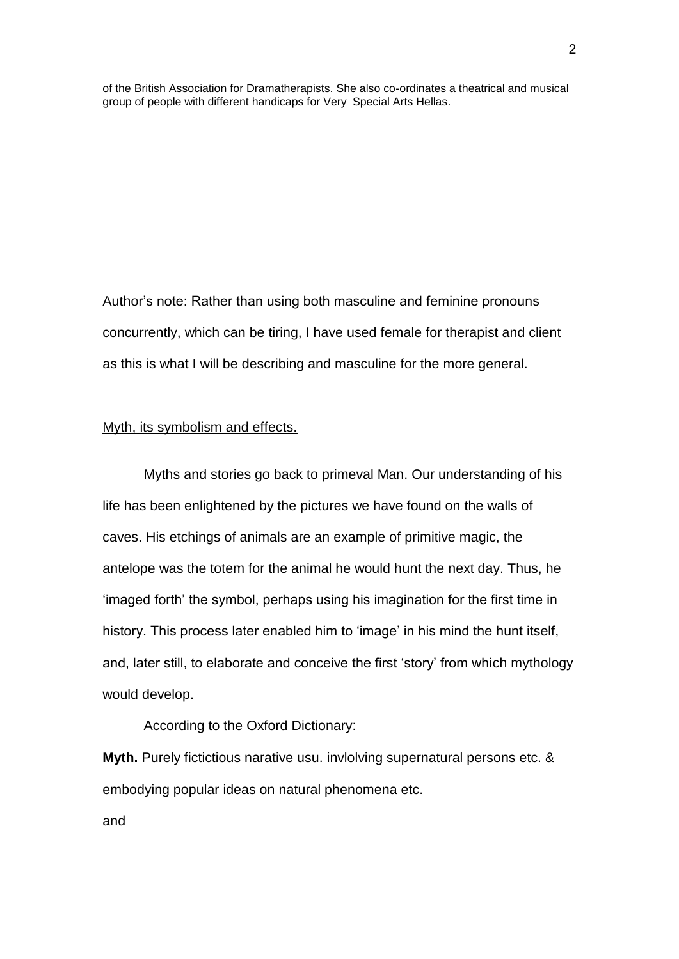of the British Association for Dramatherapists. She also co-ordinates a theatrical and musical group of people with different handicaps for Very Special Arts Hellas.

Author's note: Rather than using both masculine and feminine pronouns concurrently, which can be tiring, I have used female for therapist and client as this is what I will be describing and masculine for the more general.

### Myth, its symbolism and effects.

Myths and stories go back to primeval Man. Our understanding of his life has been enlightened by the pictures we have found on the walls of caves. His etchings of animals are an example of primitive magic, the antelope was the totem for the animal he would hunt the next day. Thus, he 'imaged forth' the symbol, perhaps using his imagination for the first time in history. This process later enabled him to 'image' in his mind the hunt itself, and, later still, to elaborate and conceive the first 'story' from which mythology would develop.

According to the Oxford Dictionary:

**Myth.** Purely fictictious narative usu. invlolving supernatural persons etc. & embodying popular ideas on natural phenomena etc.

and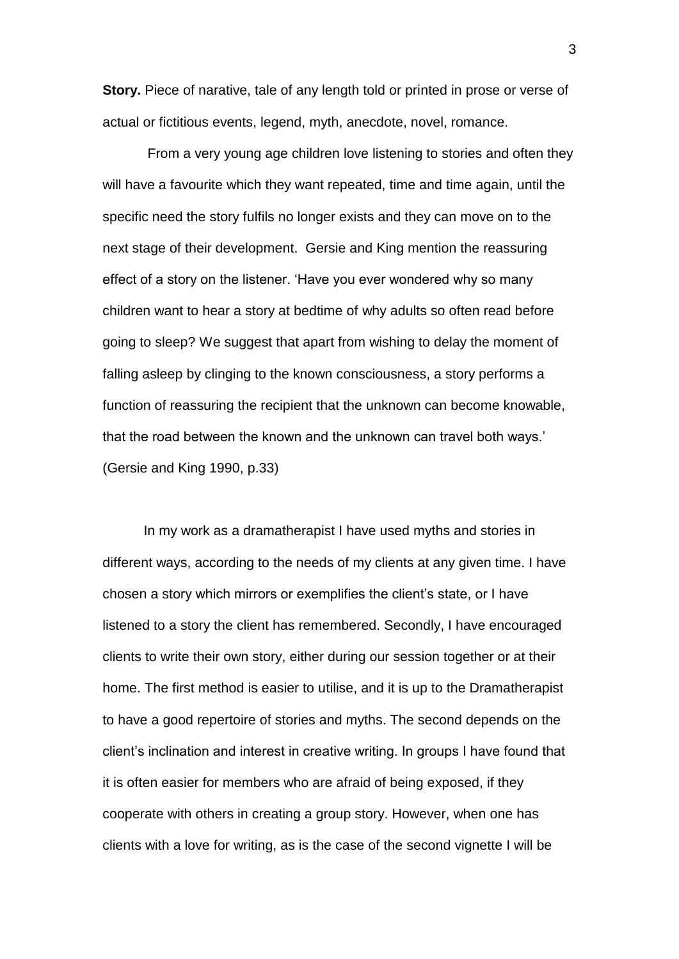**Story.** Piece of narative, tale of any length told or printed in prose or verse of actual or fictitious events, legend, myth, anecdote, novel, romance.

From a very young age children love listening to stories and often they will have a favourite which they want repeated, time and time again, until the specific need the story fulfils no longer exists and they can move on to the next stage of their development. Gersie and King mention the reassuring effect of a story on the listener. 'Have you ever wondered why so many children want to hear a story at bedtime of why adults so often read before going to sleep? We suggest that apart from wishing to delay the moment of falling asleep by clinging to the known consciousness, a story performs a function of reassuring the recipient that the unknown can become knowable, that the road between the known and the unknown can travel both ways.' (Gersie and King 1990, p.33)

In my work as a dramatherapist I have used myths and stories in different ways, according to the needs of my clients at any given time. I have chosen a story which mirrors or exemplifies the client's state, or I have listened to a story the client has remembered. Secondly, I have encouraged clients to write their own story, either during our session together or at their home. The first method is easier to utilise, and it is up to the Dramatherapist to have a good repertoire of stories and myths. The second depends on the client's inclination and interest in creative writing. In groups I have found that it is often easier for members who are afraid of being exposed, if they cooperate with others in creating a group story. However, when one has clients with a love for writing, as is the case of the second vignette I will be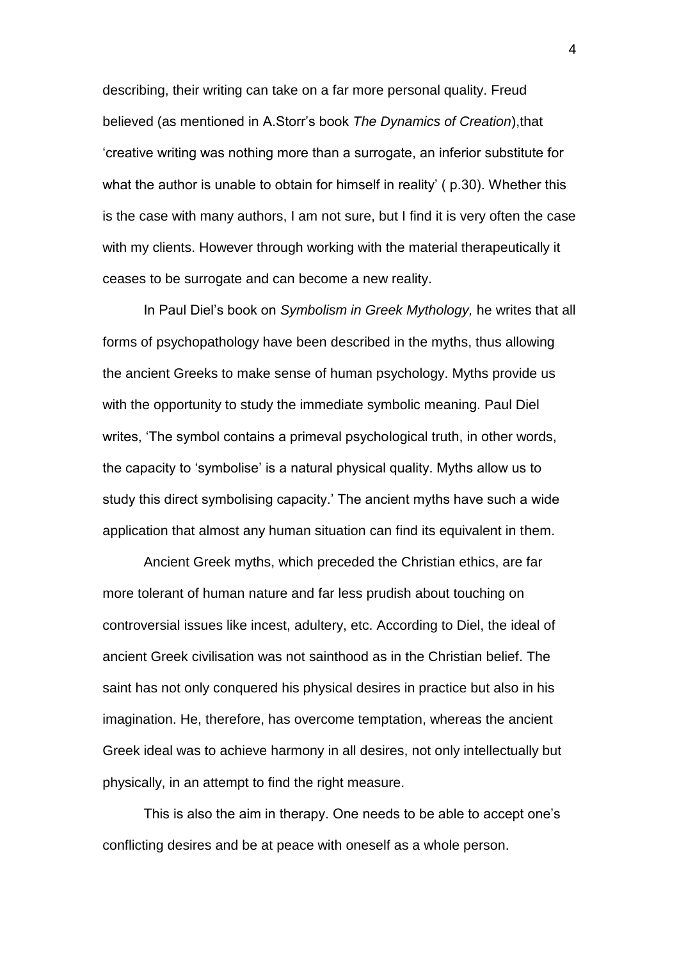describing, their writing can take on a far more personal quality. Freud believed (as mentioned in A.Storr's book *The Dynamics of Creation*),that 'creative writing was nothing more than a surrogate, an inferior substitute for what the author is unable to obtain for himself in reality' (p.30). Whether this is the case with many authors, I am not sure, but I find it is very often the case with my clients. However through working with the material therapeutically it ceases to be surrogate and can become a new reality.

In Paul Diel's book on *Symbolism in Greek Mythology,* he writes that all forms of psychopathology have been described in the myths, thus allowing the ancient Greeks to make sense of human psychology. Myths provide us with the opportunity to study the immediate symbolic meaning. Paul Diel writes, 'The symbol contains a primeval psychological truth, in other words, the capacity to 'symbolise' is a natural physical quality. Myths allow us to study this direct symbolising capacity.' The ancient myths have such a wide application that almost any human situation can find its equivalent in them.

Ancient Greek myths, which preceded the Christian ethics, are far more tolerant of human nature and far less prudish about touching on controversial issues like incest, adultery, etc. According to Diel, the ideal of ancient Greek civilisation was not sainthood as in the Christian belief. The saint has not only conquered his physical desires in practice but also in his imagination. He, therefore, has overcome temptation, whereas the ancient Greek ideal was to achieve harmony in all desires, not only intellectually but physically, in an attempt to find the right measure.

This is also the aim in therapy. One needs to be able to accept one's conflicting desires and be at peace with oneself as a whole person.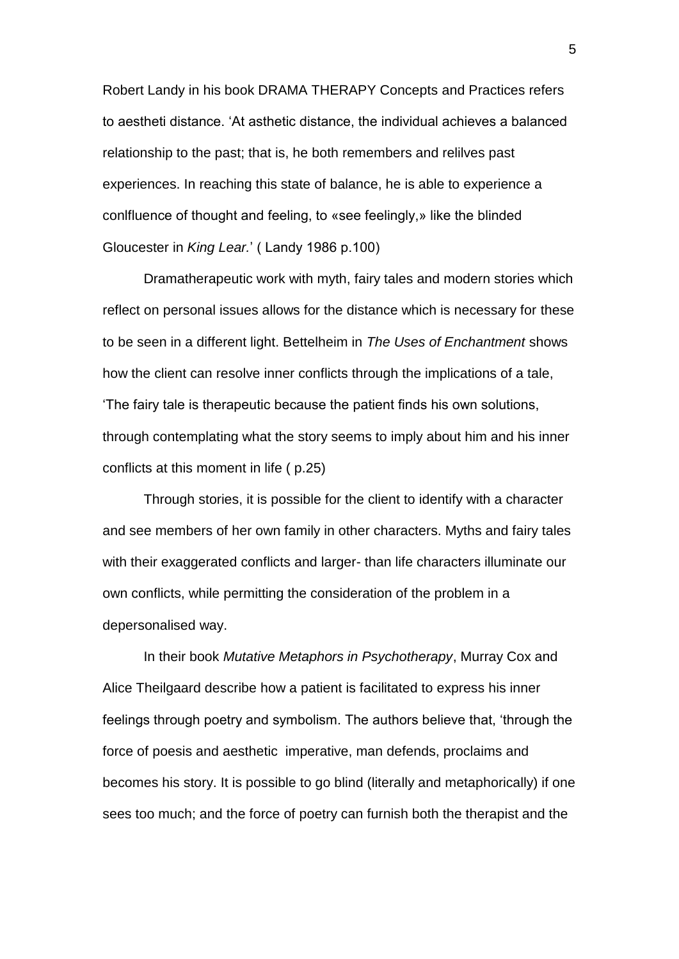Robert Landy in his book DRAMA THERAPY Concepts and Practices refers to aestheti distance. 'At asthetic distance, the individual achieves a balanced relationship to the past; that is, he both remembers and relilves past experiences. In reaching this state of balance, he is able to experience a conlfluence of thought and feeling, to «see feelingly,» like the blinded Gloucester in *King Lear.*' ( Landy 1986 p.100)

Dramatherapeutic work with myth, fairy tales and modern stories which reflect on personal issues allows for the distance which is necessary for these to be seen in a different light. Bettelheim in *The Uses of Enchantment* shows how the client can resolve inner conflicts through the implications of a tale, 'The fairy tale is therapeutic because the patient finds his own solutions, through contemplating what the story seems to imply about him and his inner conflicts at this moment in life ( p.25)

Through stories, it is possible for the client to identify with a character and see members of her own family in other characters. Myths and fairy tales with their exaggerated conflicts and larger- than life characters illuminate our own conflicts, while permitting the consideration of the problem in a depersonalised way.

In their book *Mutative Metaphors in Psychotherapy*, Murray Cox and Alice Theilgaard describe how a patient is facilitated to express his inner feelings through poetry and symbolism. The authors believe that, 'through the force of poesis and aesthetic imperative, man defends, proclaims and becomes his story. It is possible to go blind (literally and metaphorically) if one sees too much; and the force of poetry can furnish both the therapist and the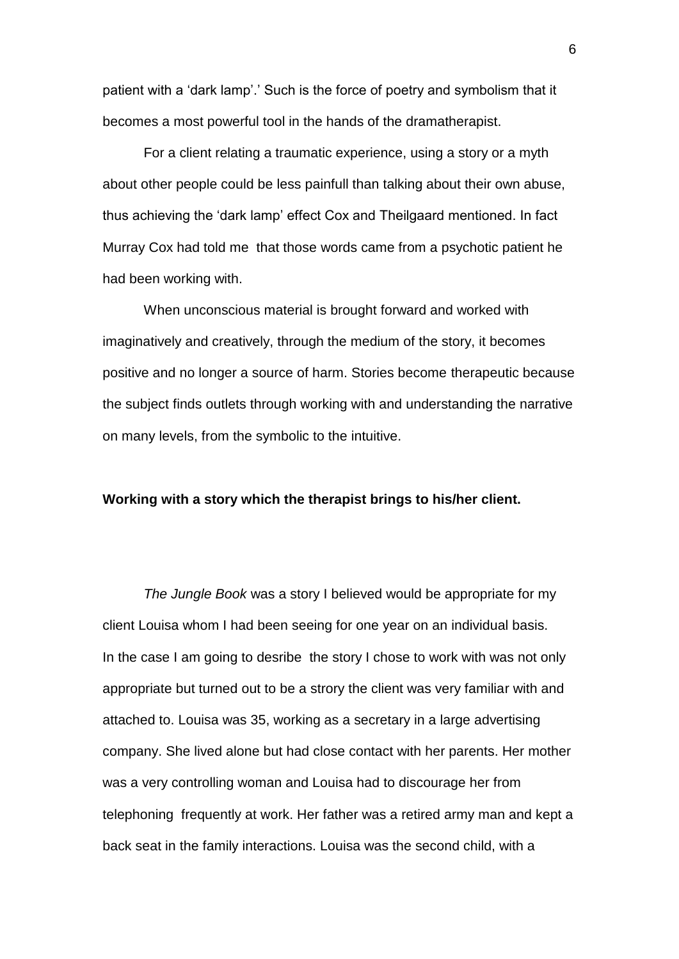patient with a 'dark lamp'.' Such is the force of poetry and symbolism that it becomes a most powerful tool in the hands of the dramatherapist.

For a client relating a traumatic experience, using a story or a myth about other people could be less painfull than talking about their own abuse, thus achieving the 'dark lamp' effect Cox and Theilgaard mentioned. In fact Murray Cox had told me that those words came from a psychotic patient he had been working with.

When unconscious material is brought forward and worked with imaginatively and creatively, through the medium of the story, it becomes positive and no longer a source of harm. Stories become therapeutic because the subject finds outlets through working with and understanding the narrative on many levels, from the symbolic to the intuitive.

#### **Working with a story which the therapist brings to his/her client.**

*The Jungle Book* was a story I believed would be appropriate for my client Louisa whom I had been seeing for one year on an individual basis. In the case I am going to desribe the story I chose to work with was not only appropriate but turned out to be a strory the client was very familiar with and attached to. Louisa was 35, working as a secretary in a large advertising company. She lived alone but had close contact with her parents. Her mother was a very controlling woman and Louisa had to discourage her from telephoning frequently at work. Her father was a retired army man and kept a back seat in the family interactions. Louisa was the second child, with a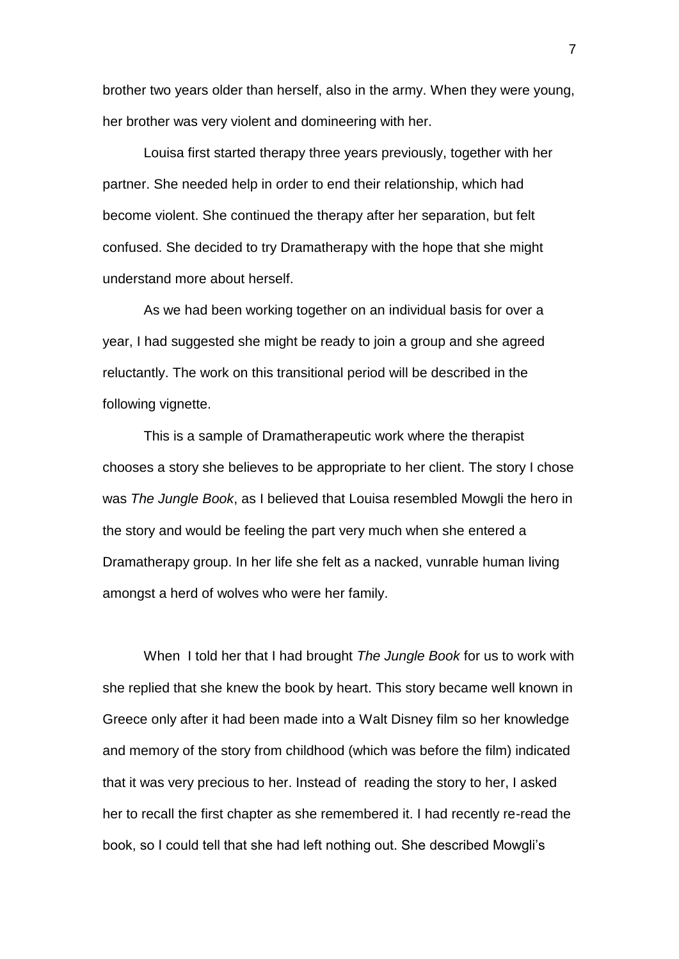brother two years older than herself, also in the army. When they were young, her brother was very violent and domineering with her.

Louisa first started therapy three years previously, together with her partner. She needed help in order to end their relationship, which had become violent. She continued the therapy after her separation, but felt confused. She decided to try Dramatherapy with the hope that she might understand more about herself.

As we had been working together on an individual basis for over a year, I had suggested she might be ready to join a group and she agreed reluctantly. The work on this transitional period will be described in the following vignette.

This is a sample of Dramatherapeutic work where the therapist chooses a story she believes to be appropriate to her client. The story I chose was *The Jungle Book*, as I believed that Louisa resembled Mowgli the hero in the story and would be feeling the part very much when she entered a Dramatherapy group. In her life she felt as a nacked, vunrable human living amongst a herd of wolves who were her family.

When I told her that I had brought *The Jungle Book* for us to work with she replied that she knew the book by heart. This story became well known in Greece only after it had been made into a Walt Disney film so her knowledge and memory of the story from childhood (which was before the film) indicated that it was very precious to her. Instead of reading the story to her, I asked her to recall the first chapter as she remembered it. I had recently re-read the book, so I could tell that she had left nothing out. She described Mowgli's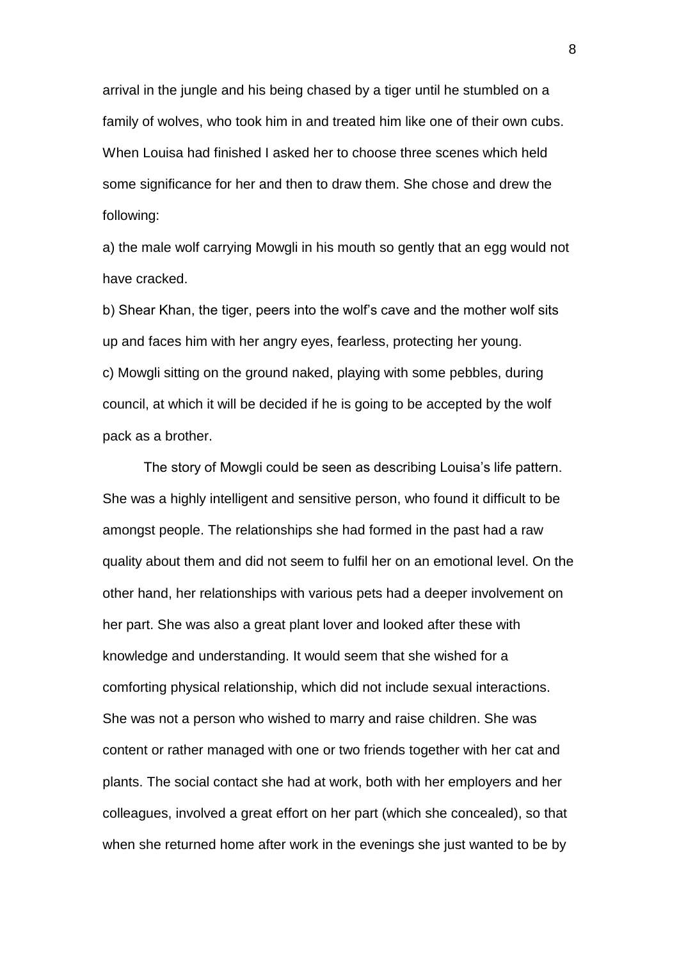arrival in the jungle and his being chased by a tiger until he stumbled on a family of wolves, who took him in and treated him like one of their own cubs. When Louisa had finished I asked her to choose three scenes which held some significance for her and then to draw them. She chose and drew the following:

a) the male wolf carrying Mowgli in his mouth so gently that an egg would not have cracked.

b) Shear Khan, the tiger, peers into the wolf's cave and the mother wolf sits up and faces him with her angry eyes, fearless, protecting her young. c) Mowgli sitting on the ground naked, playing with some pebbles, during council, at which it will be decided if he is going to be accepted by the wolf pack as a brother.

The story of Mowgli could be seen as describing Louisa's life pattern. She was a highly intelligent and sensitive person, who found it difficult to be amongst people. The relationships she had formed in the past had a raw quality about them and did not seem to fulfil her on an emotional level. On the other hand, her relationships with various pets had a deeper involvement on her part. She was also a great plant lover and looked after these with knowledge and understanding. It would seem that she wished for a comforting physical relationship, which did not include sexual interactions. She was not a person who wished to marry and raise children. She was content or rather managed with one or two friends together with her cat and plants. The social contact she had at work, both with her employers and her colleagues, involved a great effort on her part (which she concealed), so that when she returned home after work in the evenings she just wanted to be by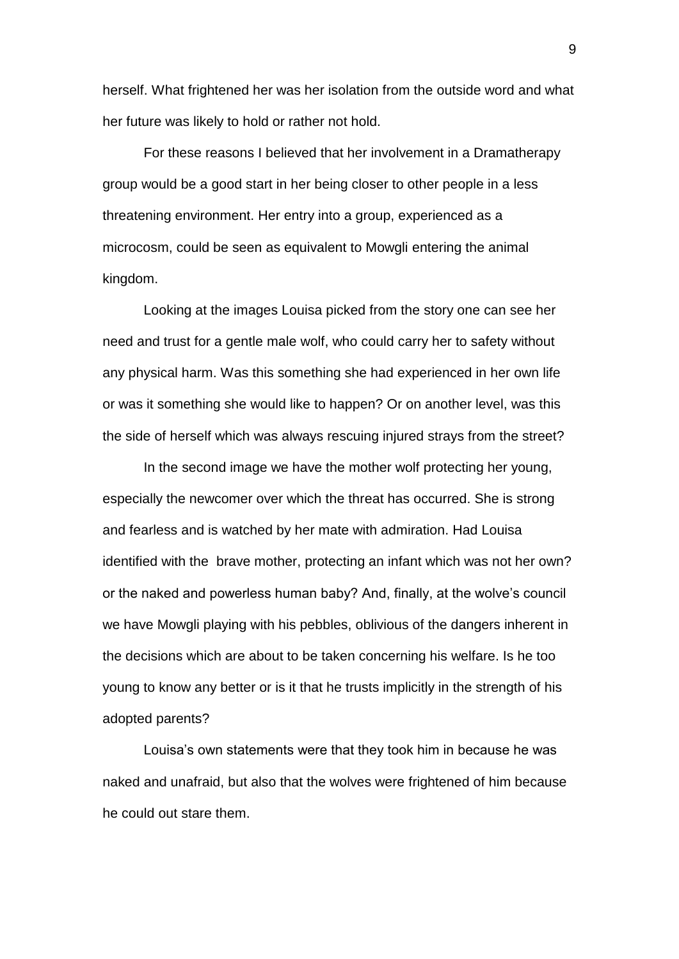herself. What frightened her was her isolation from the outside word and what her future was likely to hold or rather not hold.

For these reasons I believed that her involvement in a Dramatherapy group would be a good start in her being closer to other people in a less threatening environment. Her entry into a group, experienced as a microcosm, could be seen as equivalent to Mowgli entering the animal kingdom.

Looking at the images Louisa picked from the story one can see her need and trust for a gentle male wolf, who could carry her to safety without any physical harm. Was this something she had experienced in her own life or was it something she would like to happen? Or on another level, was this the side of herself which was always rescuing injured strays from the street?

In the second image we have the mother wolf protecting her young, especially the newcomer over which the threat has occurred. She is strong and fearless and is watched by her mate with admiration. Had Louisa identified with the brave mother, protecting an infant which was not her own? or the naked and powerless human baby? And, finally, at the wolve's council we have Mowgli playing with his pebbles, oblivious of the dangers inherent in the decisions which are about to be taken concerning his welfare. Is he too young to know any better or is it that he trusts implicitly in the strength of his adopted parents?

Louisa's own statements were that they took him in because he was naked and unafraid, but also that the wolves were frightened of him because he could out stare them.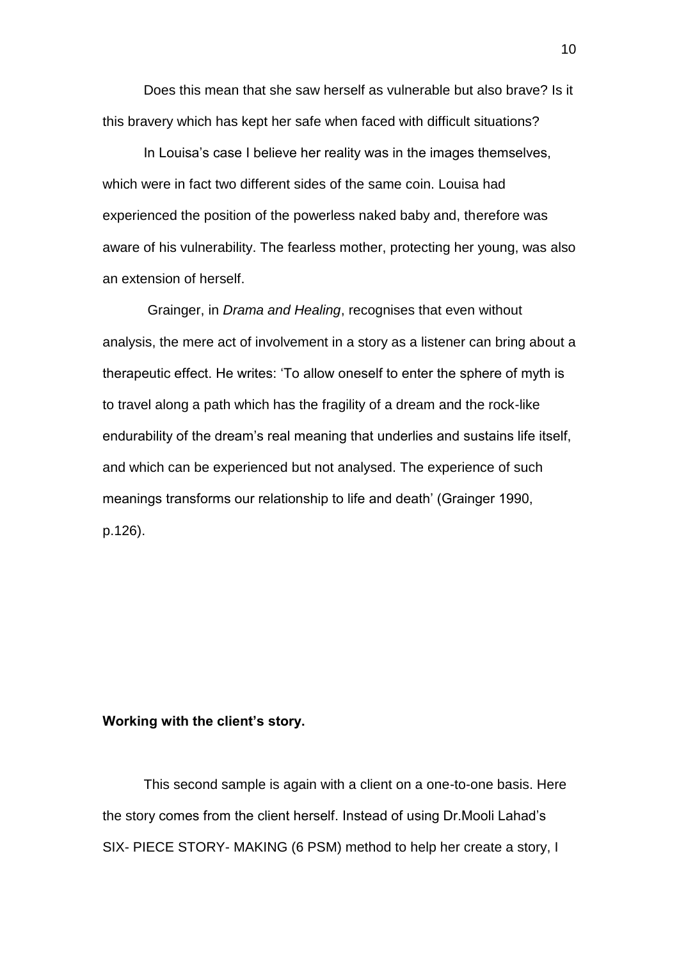Does this mean that she saw herself as vulnerable but also brave? Is it this bravery which has kept her safe when faced with difficult situations?

In Louisa's case I believe her reality was in the images themselves, which were in fact two different sides of the same coin. Louisa had experienced the position of the powerless naked baby and, therefore was aware of his vulnerability. The fearless mother, protecting her young, was also an extension of herself.

Grainger, in *Drama and Healing*, recognises that even without analysis, the mere act of involvement in a story as a listener can bring about a therapeutic effect. He writes: 'To allow oneself to enter the sphere of myth is to travel along a path which has the fragility of a dream and the rock-like endurability of the dream's real meaning that underlies and sustains life itself, and which can be experienced but not analysed. The experience of such meanings transforms our relationship to life and death' (Grainger 1990, p.126).

## **Working with the client's story.**

This second sample is again with a client on a one-to-one basis. Here the story comes from the client herself. Instead of using Dr.Mooli Lahad's SIX- PIECE STORY- MAKING (6 PSM) method to help her create a story, I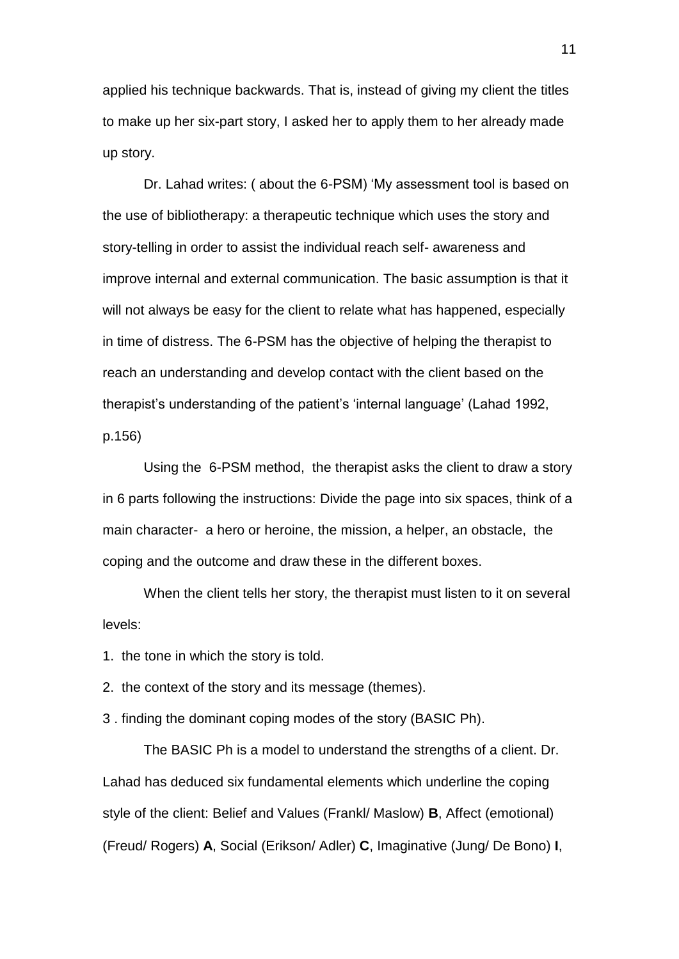applied his technique backwards. That is, instead of giving my client the titles to make up her six-part story, I asked her to apply them to her already made up story.

Dr. Lahad writes: ( about the 6-PSM) 'My assessment tool is based on the use of bibliotherapy: a therapeutic technique which uses the story and story-telling in order to assist the individual reach self- awareness and improve internal and external communication. The basic assumption is that it will not always be easy for the client to relate what has happened, especially in time of distress. The 6-PSM has the objective of helping the therapist to reach an understanding and develop contact with the client based on the therapist's understanding of the patient's 'internal language' (Lahad 1992, p.156)

Using the 6-PSM method, the therapist asks the client to draw a story in 6 parts following the instructions: Divide the page into six spaces, think of a main character- a hero or heroine, the mission, a helper, an obstacle, the coping and the outcome and draw these in the different boxes.

When the client tells her story, the therapist must listen to it on several levels:

1. the tone in which the story is told.

2. the context of the story and its message (themes).

3 . finding the dominant coping modes of the story (BASIC Ph).

The BASIC Ph is a model to understand the strengths of a client. Dr. Lahad has deduced six fundamental elements which underline the coping style of the client: Belief and Values (Frankl/ Maslow) **B**, Affect (emotional) (Freud/ Rogers) **A**, Social (Erikson/ Adler) **C**, Imaginative (Jung/ De Bono) **I**,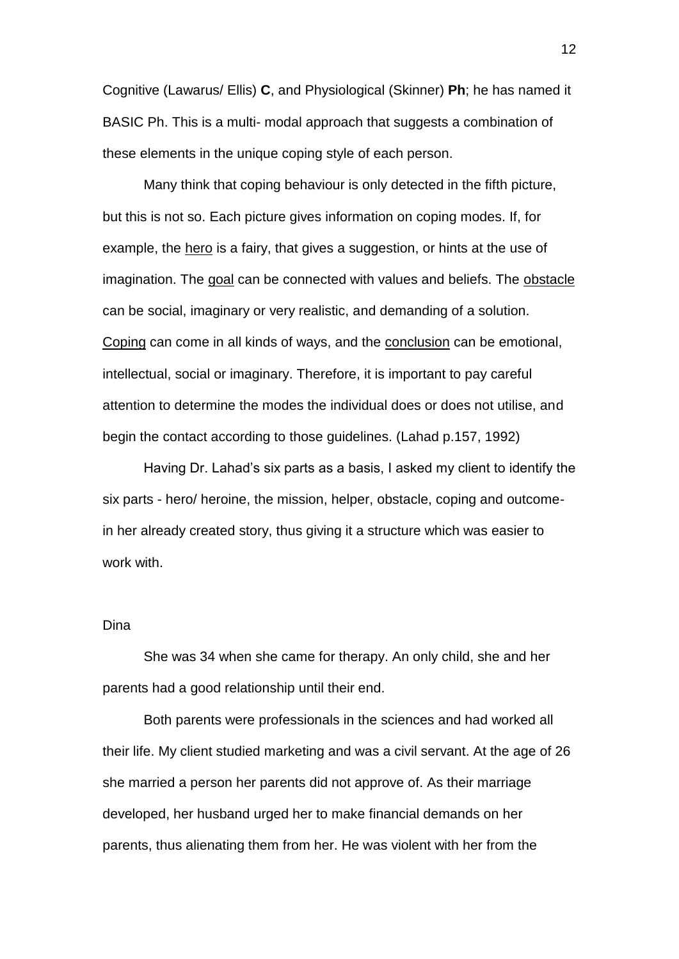Cognitive (Lawarus/ Ellis) **C**, and Physiological (Skinner) **Ph**; he has named it BASIC Ph. This is a multi- modal approach that suggests a combination of these elements in the unique coping style of each person.

Many think that coping behaviour is only detected in the fifth picture, but this is not so. Each picture gives information on coping modes. If, for example, the hero is a fairy, that gives a suggestion, or hints at the use of imagination. The goal can be connected with values and beliefs. The obstacle can be social, imaginary or very realistic, and demanding of a solution. Coping can come in all kinds of ways, and the conclusion can be emotional, intellectual, social or imaginary. Therefore, it is important to pay careful attention to determine the modes the individual does or does not utilise, and begin the contact according to those guidelines. (Lahad p.157, 1992)

Having Dr. Lahad's six parts as a basis, I asked my client to identify the six parts - hero/ heroine, the mission, helper, obstacle, coping and outcomein her already created story, thus giving it a structure which was easier to work with.

### Dina

She was 34 when she came for therapy. An only child, she and her parents had a good relationship until their end.

Both parents were professionals in the sciences and had worked all their life. My client studied marketing and was a civil servant. At the age of 26 she married a person her parents did not approve of. As their marriage developed, her husband urged her to make financial demands on her parents, thus alienating them from her. He was violent with her from the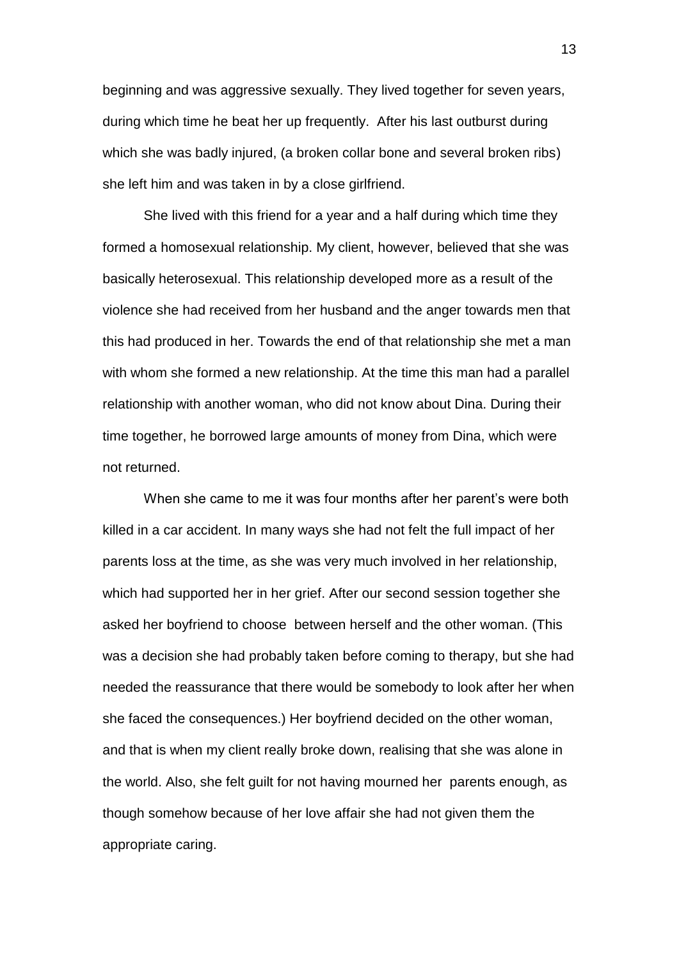beginning and was aggressive sexually. They lived together for seven years, during which time he beat her up frequently. After his last outburst during which she was badly injured, (a broken collar bone and several broken ribs) she left him and was taken in by a close girlfriend.

She lived with this friend for a year and a half during which time they formed a homosexual relationship. My client, however, believed that she was basically heterosexual. This relationship developed more as a result of the violence she had received from her husband and the anger towards men that this had produced in her. Towards the end of that relationship she met a man with whom she formed a new relationship. At the time this man had a parallel relationship with another woman, who did not know about Dina. During their time together, he borrowed large amounts of money from Dina, which were not returned.

When she came to me it was four months after her parent's were both killed in a car accident. In many ways she had not felt the full impact of her parents loss at the time, as she was very much involved in her relationship, which had supported her in her grief. After our second session together she asked her boyfriend to choose between herself and the other woman. (This was a decision she had probably taken before coming to therapy, but she had needed the reassurance that there would be somebody to look after her when she faced the consequences.) Her boyfriend decided on the other woman, and that is when my client really broke down, realising that she was alone in the world. Also, she felt guilt for not having mourned her parents enough, as though somehow because of her love affair she had not given them the appropriate caring.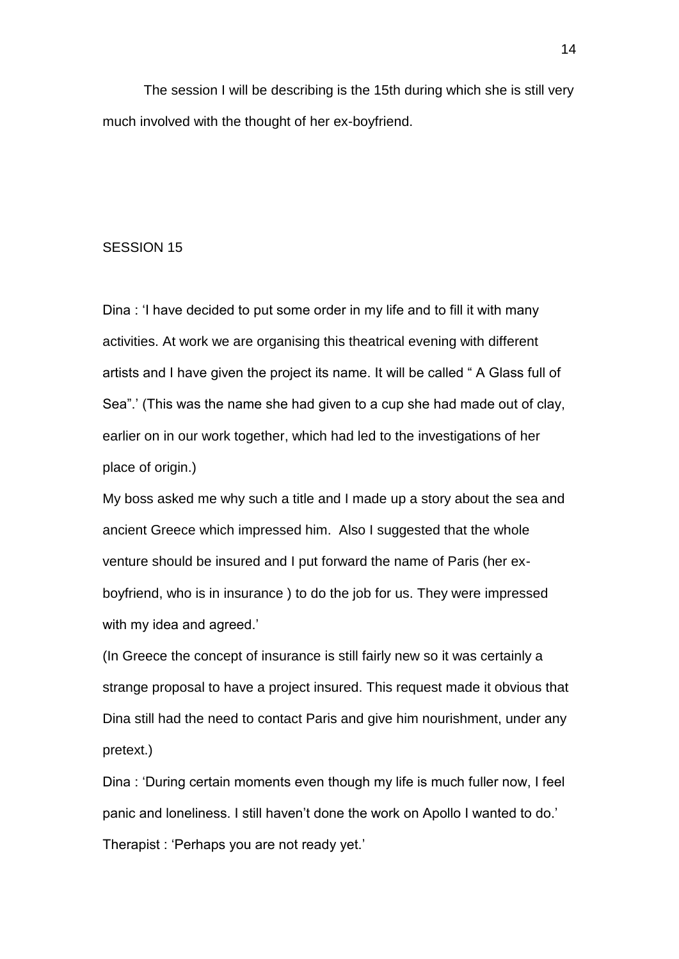The session I will be describing is the 15th during which she is still very much involved with the thought of her ex-boyfriend.

### SESSION 15

Dina : 'I have decided to put some order in my life and to fill it with many activities. At work we are organising this theatrical evening with different artists and I have given the project its name. It will be called " A Glass full of Sea".' (This was the name she had given to a cup she had made out of clay, earlier on in our work together, which had led to the investigations of her place of origin.)

My boss asked me why such a title and I made up a story about the sea and ancient Greece which impressed him. Also I suggested that the whole venture should be insured and I put forward the name of Paris (her exboyfriend, who is in insurance ) to do the job for us. They were impressed with my idea and agreed.'

(In Greece the concept of insurance is still fairly new so it was certainly a strange proposal to have a project insured. This request made it obvious that Dina still had the need to contact Paris and give him nourishment, under any pretext.)

Dina : 'During certain moments even though my life is much fuller now, I feel panic and loneliness. I still haven't done the work on Apollo I wanted to do.' Therapist : 'Perhaps you are not ready yet.'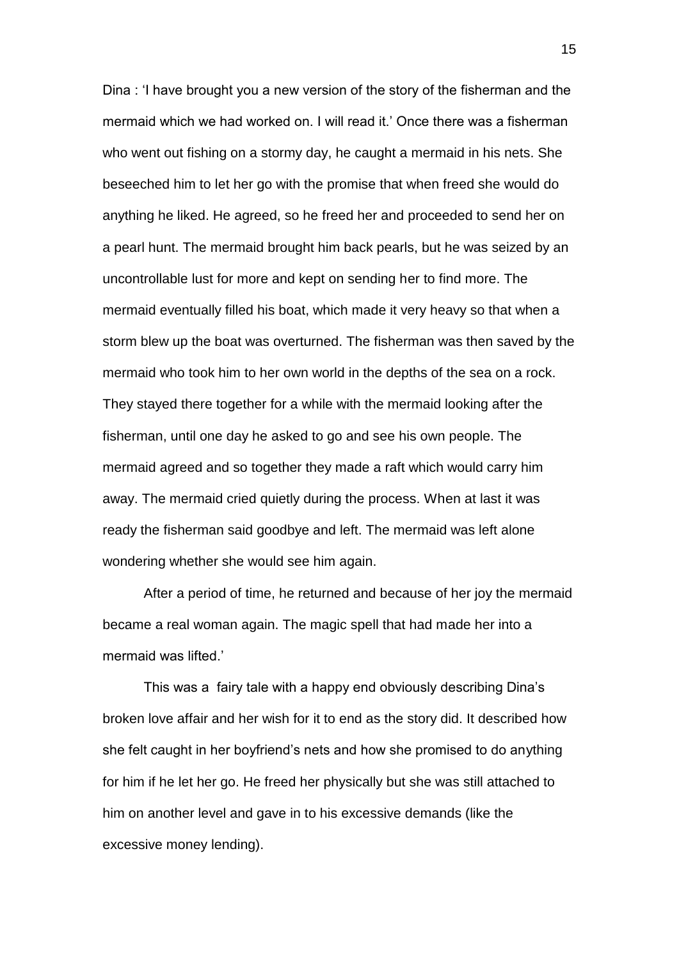Dina : 'I have brought you a new version of the story of the fisherman and the mermaid which we had worked on. I will read it.' Once there was a fisherman who went out fishing on a stormy day, he caught a mermaid in his nets. She beseeched him to let her go with the promise that when freed she would do anything he liked. He agreed, so he freed her and proceeded to send her on a pearl hunt. The mermaid brought him back pearls, but he was seized by an uncontrollable lust for more and kept on sending her to find more. The mermaid eventually filled his boat, which made it very heavy so that when a storm blew up the boat was overturned. The fisherman was then saved by the mermaid who took him to her own world in the depths of the sea on a rock. They stayed there together for a while with the mermaid looking after the fisherman, until one day he asked to go and see his own people. The mermaid agreed and so together they made a raft which would carry him away. The mermaid cried quietly during the process. When at last it was ready the fisherman said goodbye and left. The mermaid was left alone wondering whether she would see him again.

After a period of time, he returned and because of her joy the mermaid became a real woman again. The magic spell that had made her into a mermaid was lifted.'

This was a fairy tale with a happy end obviously describing Dina's broken love affair and her wish for it to end as the story did. It described how she felt caught in her boyfriend's nets and how she promised to do anything for him if he let her go. He freed her physically but she was still attached to him on another level and gave in to his excessive demands (like the excessive money lending).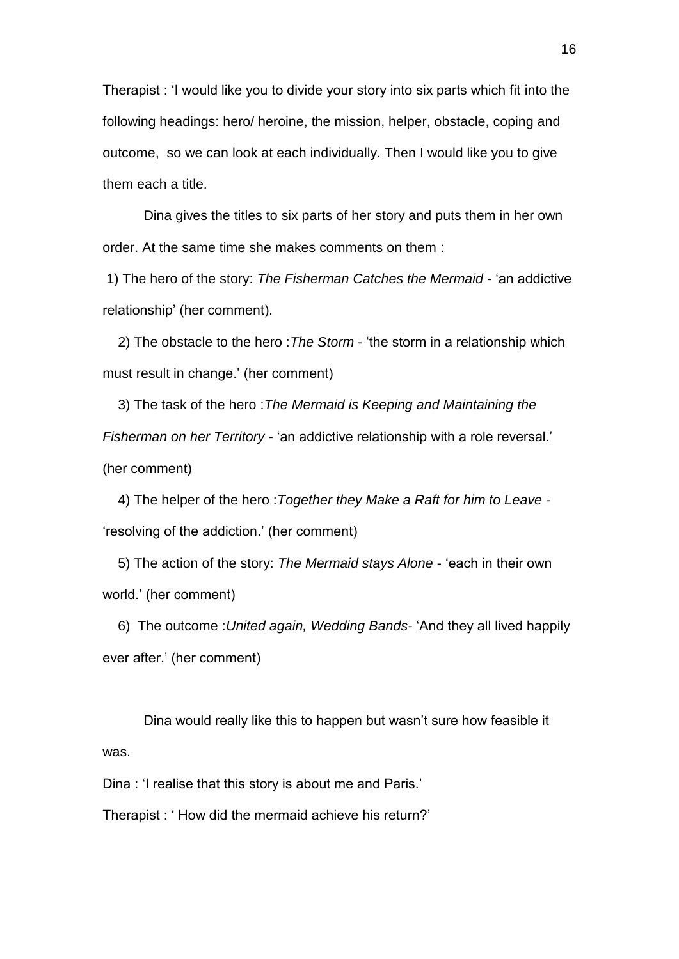Therapist : 'I would like you to divide your story into six parts which fit into the following headings: hero/ heroine, the mission, helper, obstacle, coping and outcome, so we can look at each individually. Then I would like you to give them each a title.

Dina gives the titles to six parts of her story and puts them in her own order. At the same time she makes comments on them :

1) The hero of the story: *The Fisherman Catches the Mermaid* - 'an addictive relationship' (her comment).

 2) The obstacle to the hero :*The Storm* - 'the storm in a relationship which must result in change.' (her comment)

 3) The task of the hero :*The Mermaid is Keeping and Maintaining the Fisherman on her Territory* - 'an addictive relationship with a role reversal.' (her comment)

 4) The helper of the hero :*Together they Make a Raft for him to Leave* - 'resolving of the addiction.' (her comment)

 5) The action of the story: *The Mermaid stays Alone* - 'each in their own world.' (her comment)

 6) The outcome :*United again, Wedding Bands*- 'And they all lived happily ever after.' (her comment)

Dina would really like this to happen but wasn't sure how feasible it was.

Dina : 'I realise that this story is about me and Paris.'

Therapist : ' How did the mermaid achieve his return?'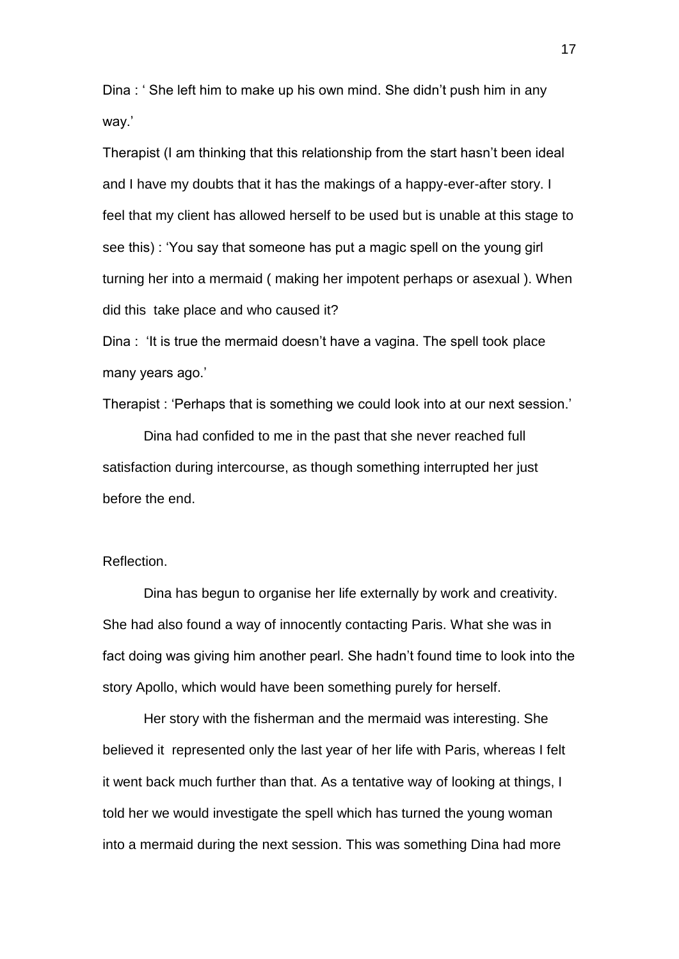Dina : ' She left him to make up his own mind. She didn't push him in any way.'

Therapist (I am thinking that this relationship from the start hasn't been ideal and I have my doubts that it has the makings of a happy-ever-after story. I feel that my client has allowed herself to be used but is unable at this stage to see this) : 'You say that someone has put a magic spell on the young girl turning her into a mermaid ( making her impotent perhaps or asexual ). When did this take place and who caused it?

Dina : 'It is true the mermaid doesn't have a vagina. The spell took place many years ago.'

Therapist : 'Perhaps that is something we could look into at our next session.'

Dina had confided to me in the past that she never reached full satisfaction during intercourse, as though something interrupted her just before the end.

## Reflection.

Dina has begun to organise her life externally by work and creativity. She had also found a way of innocently contacting Paris. What she was in fact doing was giving him another pearl. She hadn't found time to look into the story Apollo, which would have been something purely for herself.

Her story with the fisherman and the mermaid was interesting. She believed it represented only the last year of her life with Paris, whereas I felt it went back much further than that. As a tentative way of looking at things, I told her we would investigate the spell which has turned the young woman into a mermaid during the next session. This was something Dina had more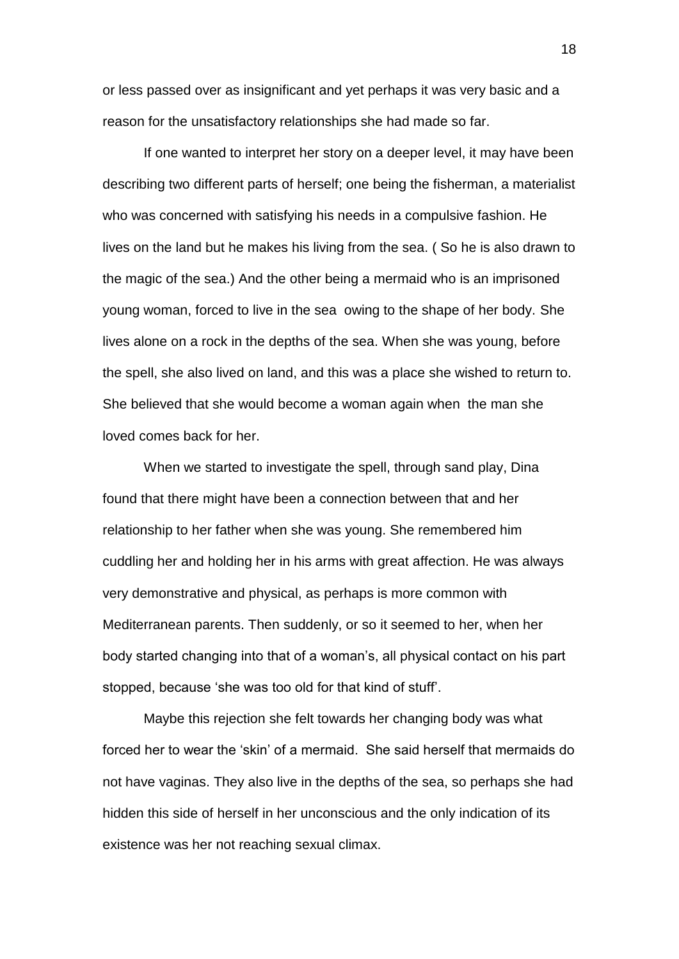or less passed over as insignificant and yet perhaps it was very basic and a reason for the unsatisfactory relationships she had made so far.

If one wanted to interpret her story on a deeper level, it may have been describing two different parts of herself; one being the fisherman, a materialist who was concerned with satisfying his needs in a compulsive fashion. He lives on the land but he makes his living from the sea. ( So he is also drawn to the magic of the sea.) And the other being a mermaid who is an imprisoned young woman, forced to live in the sea owing to the shape of her body. She lives alone on a rock in the depths of the sea. When she was young, before the spell, she also lived on land, and this was a place she wished to return to. She believed that she would become a woman again when the man she loved comes back for her.

When we started to investigate the spell, through sand play, Dina found that there might have been a connection between that and her relationship to her father when she was young. She remembered him cuddling her and holding her in his arms with great affection. He was always very demonstrative and physical, as perhaps is more common with Mediterranean parents. Then suddenly, or so it seemed to her, when her body started changing into that of a woman's, all physical contact on his part stopped, because 'she was too old for that kind of stuff'.

Maybe this rejection she felt towards her changing body was what forced her to wear the 'skin' of a mermaid. She said herself that mermaids do not have vaginas. They also live in the depths of the sea, so perhaps she had hidden this side of herself in her unconscious and the only indication of its existence was her not reaching sexual climax.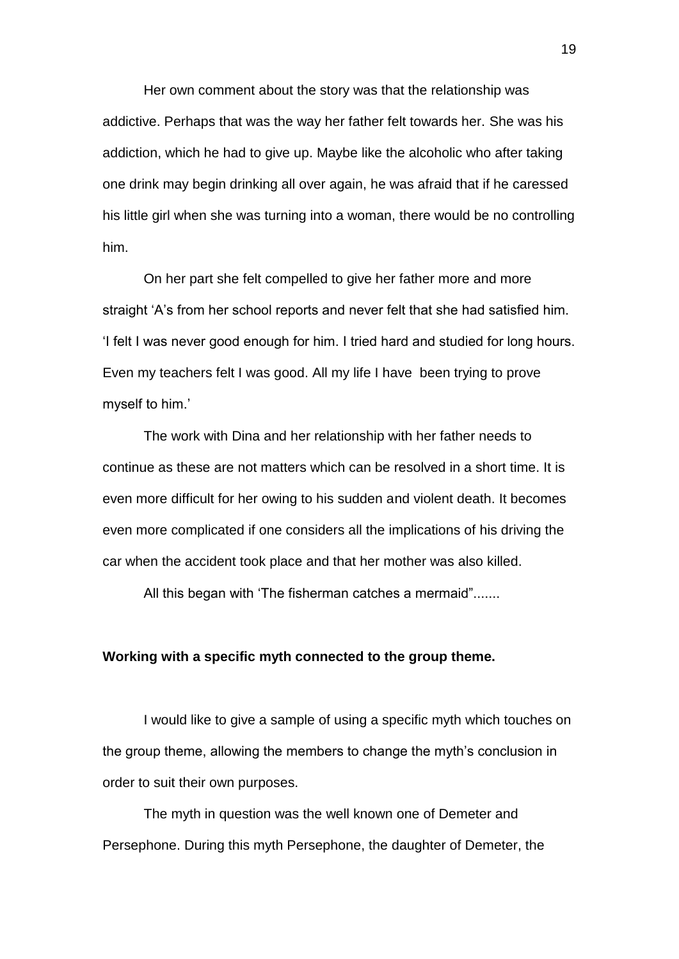Her own comment about the story was that the relationship was addictive. Perhaps that was the way her father felt towards her. She was his addiction, which he had to give up. Maybe like the alcoholic who after taking one drink may begin drinking all over again, he was afraid that if he caressed his little girl when she was turning into a woman, there would be no controlling him.

On her part she felt compelled to give her father more and more straight 'A's from her school reports and never felt that she had satisfied him. 'I felt I was never good enough for him. I tried hard and studied for long hours. Even my teachers felt I was good. All my life I have been trying to prove myself to him.'

The work with Dina and her relationship with her father needs to continue as these are not matters which can be resolved in a short time. It is even more difficult for her owing to his sudden and violent death. It becomes even more complicated if one considers all the implications of his driving the car when the accident took place and that her mother was also killed.

All this began with 'The fisherman catches a mermaid".......

## **Working with a specific myth connected to the group theme.**

I would like to give a sample of using a specific myth which touches on the group theme, allowing the members to change the myth's conclusion in order to suit their own purposes.

The myth in question was the well known one of Demeter and Persephone. During this myth Persephone, the daughter of Demeter, the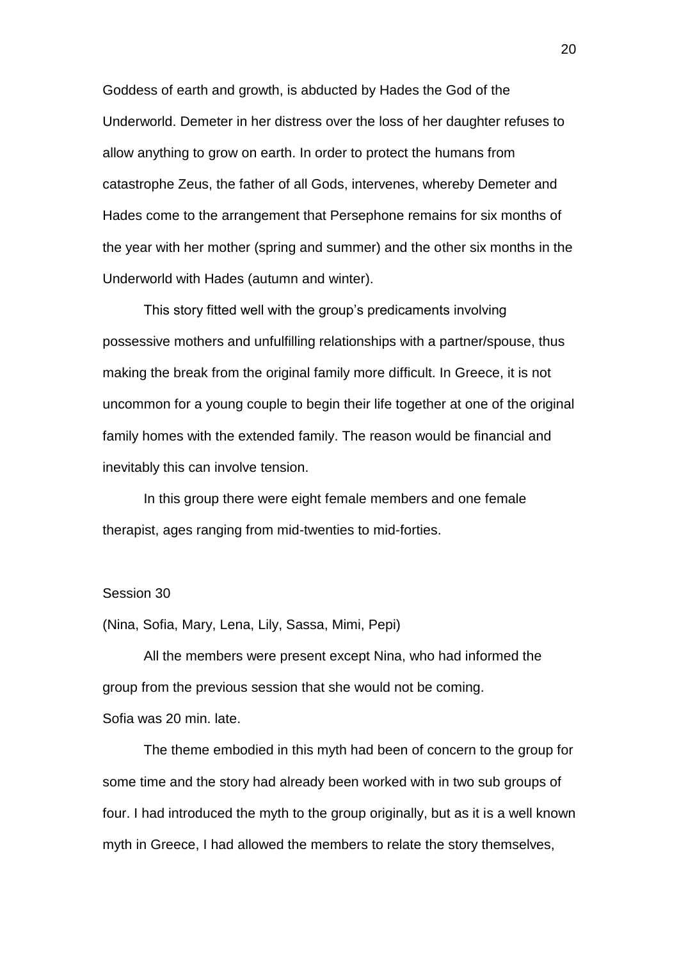Goddess of earth and growth, is abducted by Hades the God of the Underworld. Demeter in her distress over the loss of her daughter refuses to allow anything to grow on earth. In order to protect the humans from catastrophe Zeus, the father of all Gods, intervenes, whereby Demeter and Hades come to the arrangement that Persephone remains for six months of the year with her mother (spring and summer) and the other six months in the Underworld with Hades (autumn and winter).

This story fitted well with the group's predicaments involving possessive mothers and unfulfilling relationships with a partner/spouse, thus making the break from the original family more difficult. In Greece, it is not uncommon for a young couple to begin their life together at one of the original family homes with the extended family. The reason would be financial and inevitably this can involve tension.

In this group there were eight female members and one female therapist, ages ranging from mid-twenties to mid-forties.

### Session 30

(Nina, Sofia, Mary, Lena, Lily, Sassa, Mimi, Pepi)

All the members were present except Nina, who had informed the group from the previous session that she would not be coming. Sofia was 20 min. late.

The theme embodied in this myth had been of concern to the group for some time and the story had already been worked with in two sub groups of four. I had introduced the myth to the group originally, but as it is a well known myth in Greece, I had allowed the members to relate the story themselves,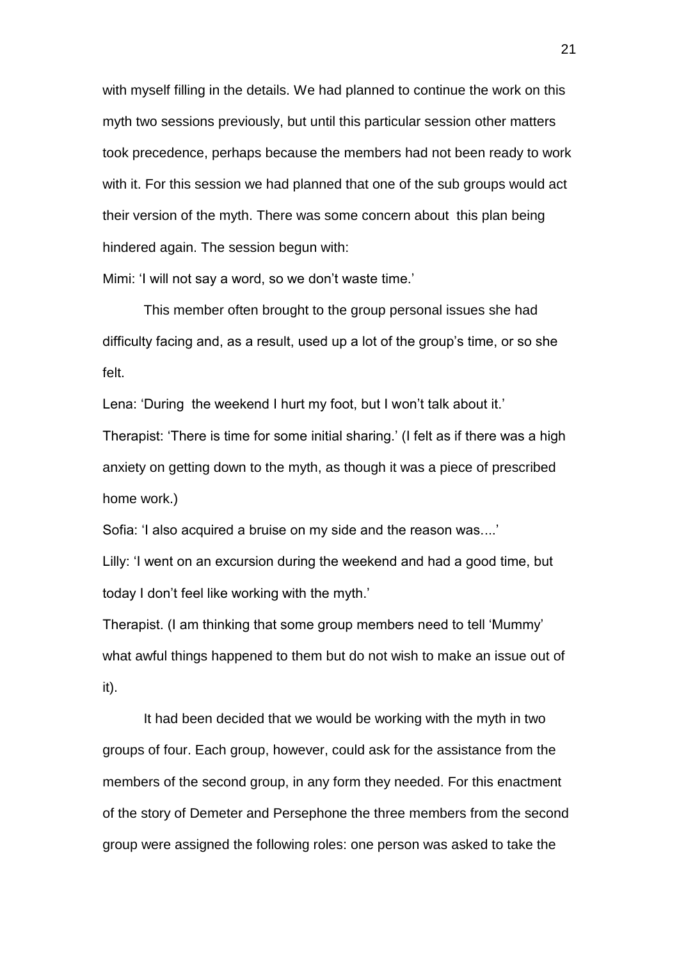with myself filling in the details. We had planned to continue the work on this myth two sessions previously, but until this particular session other matters took precedence, perhaps because the members had not been ready to work with it. For this session we had planned that one of the sub groups would act their version of the myth. There was some concern about this plan being hindered again. The session begun with:

Mimi: 'I will not say a word, so we don't waste time.'

This member often brought to the group personal issues she had difficulty facing and, as a result, used up a lot of the group's time, or so she felt.

Lena: 'During the weekend I hurt my foot, but I won't talk about it.'

Therapist: 'There is time for some initial sharing.' (I felt as if there was a high anxiety on getting down to the myth, as though it was a piece of prescribed home work.)

Sofia: 'I also acquired a bruise on my side and the reason was....'

Lilly: 'I went on an excursion during the weekend and had a good time, but today I don't feel like working with the myth.'

Therapist. (I am thinking that some group members need to tell 'Mummy' what awful things happened to them but do not wish to make an issue out of it).

It had been decided that we would be working with the myth in two groups of four. Each group, however, could ask for the assistance from the members of the second group, in any form they needed. For this enactment of the story of Demeter and Persephone the three members from the second group were assigned the following roles: one person was asked to take the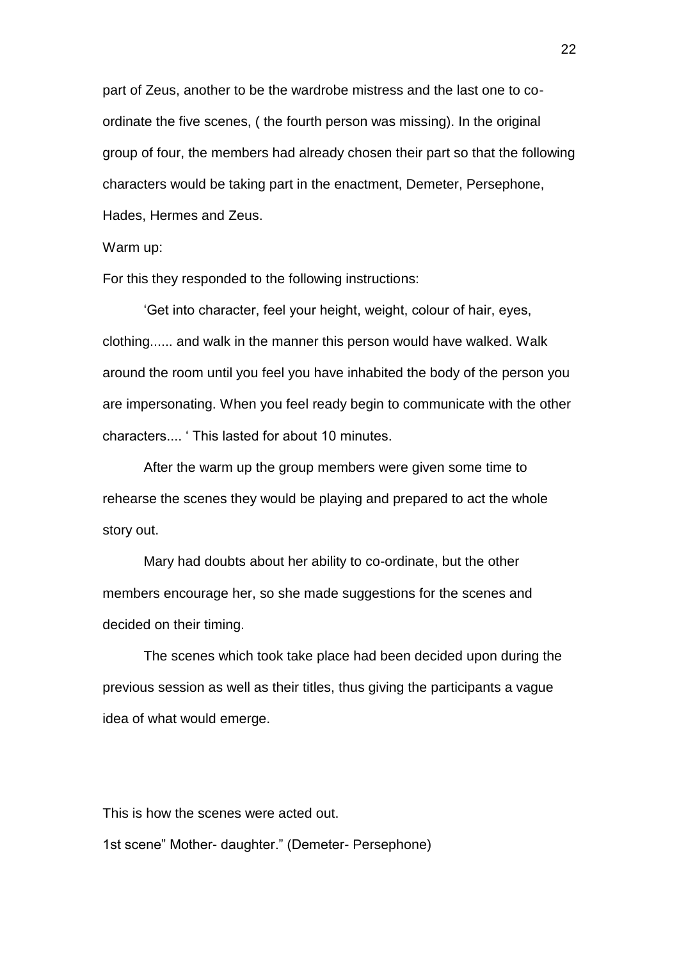part of Zeus, another to be the wardrobe mistress and the last one to coordinate the five scenes, ( the fourth person was missing). In the original group of four, the members had already chosen their part so that the following characters would be taking part in the enactment, Demeter, Persephone, Hades, Hermes and Zeus.

Warm up:

For this they responded to the following instructions:

'Get into character, feel your height, weight, colour of hair, eyes, clothing...... and walk in the manner this person would have walked. Walk around the room until you feel you have inhabited the body of the person you are impersonating. When you feel ready begin to communicate with the other characters.... ' This lasted for about 10 minutes.

After the warm up the group members were given some time to rehearse the scenes they would be playing and prepared to act the whole story out.

Mary had doubts about her ability to co-ordinate, but the other members encourage her, so she made suggestions for the scenes and decided on their timing.

The scenes which took take place had been decided upon during the previous session as well as their titles, thus giving the participants a vague idea of what would emerge.

This is how the scenes were acted out. 1st scene" Mother- daughter." (Demeter- Persephone)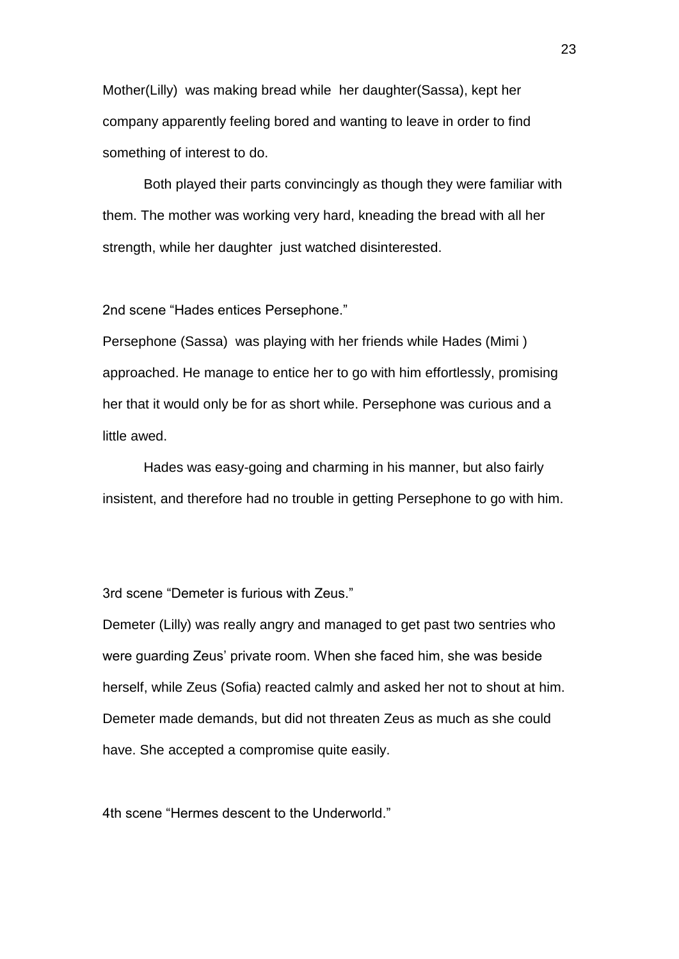Mother(Lilly) was making bread while her daughter(Sassa), kept her company apparently feeling bored and wanting to leave in order to find something of interest to do.

Both played their parts convincingly as though they were familiar with them. The mother was working very hard, kneading the bread with all her strength, while her daughter just watched disinterested.

2nd scene "Hades entices Persephone."

Persephone (Sassa) was playing with her friends while Hades (Mimi ) approached. He manage to entice her to go with him effortlessly, promising her that it would only be for as short while. Persephone was curious and a little awed.

Hades was easy-going and charming in his manner, but also fairly insistent, and therefore had no trouble in getting Persephone to go with him.

3rd scene "Demeter is furious with Zeus."

Demeter (Lilly) was really angry and managed to get past two sentries who were guarding Zeus' private room. When she faced him, she was beside herself, while Zeus (Sofia) reacted calmly and asked her not to shout at him. Demeter made demands, but did not threaten Zeus as much as she could have. She accepted a compromise quite easily.

4th scene "Hermes descent to the Underworld."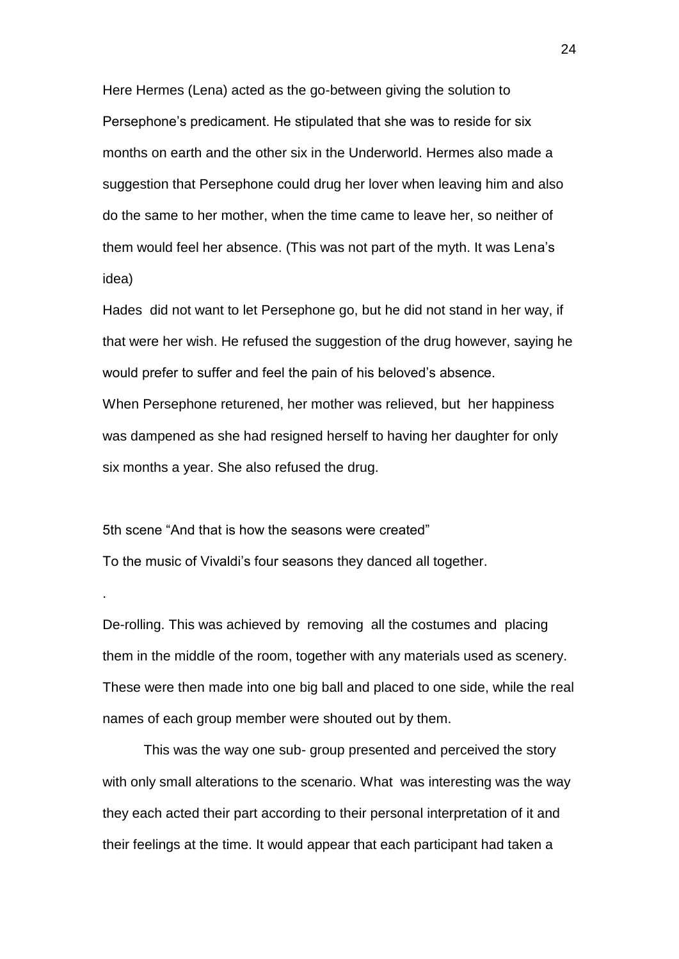Here Hermes (Lena) acted as the go-between giving the solution to Persephone's predicament. He stipulated that she was to reside for six months on earth and the other six in the Underworld. Hermes also made a suggestion that Persephone could drug her lover when leaving him and also do the same to her mother, when the time came to leave her, so neither of them would feel her absence. (This was not part of the myth. It was Lena's idea)

Hades did not want to let Persephone go, but he did not stand in her way, if that were her wish. He refused the suggestion of the drug however, saying he would prefer to suffer and feel the pain of his beloved's absence. When Persephone returened, her mother was relieved, but her happiness was dampened as she had resigned herself to having her daughter for only six months a year. She also refused the drug.

5th scene "And that is how the seasons were created" To the music of Vivaldi's four seasons they danced all together.

.

De-rolling. This was achieved by removing all the costumes and placing them in the middle of the room, together with any materials used as scenery. These were then made into one big ball and placed to one side, while the real names of each group member were shouted out by them.

This was the way one sub- group presented and perceived the story with only small alterations to the scenario. What was interesting was the way they each acted their part according to their personal interpretation of it and their feelings at the time. It would appear that each participant had taken a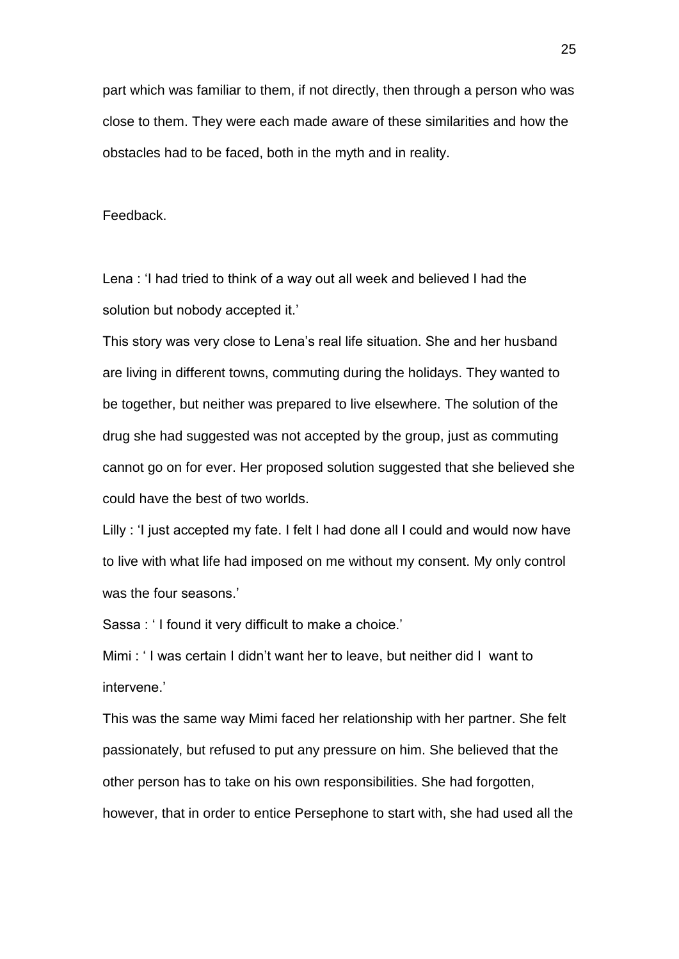part which was familiar to them, if not directly, then through a person who was close to them. They were each made aware of these similarities and how the obstacles had to be faced, both in the myth and in reality.

Feedback.

Lena : 'I had tried to think of a way out all week and believed I had the solution but nobody accepted it.'

This story was very close to Lena's real life situation. She and her husband are living in different towns, commuting during the holidays. They wanted to be together, but neither was prepared to live elsewhere. The solution of the drug she had suggested was not accepted by the group, just as commuting cannot go on for ever. Her proposed solution suggested that she believed she could have the best of two worlds.

Lilly : 'I just accepted my fate. I felt I had done all I could and would now have to live with what life had imposed on me without my consent. My only control was the four seasons.'

Sassa : ' I found it very difficult to make a choice.'

Mimi : ' I was certain I didn't want her to leave, but neither did I want to intervene.'

This was the same way Mimi faced her relationship with her partner. She felt passionately, but refused to put any pressure on him. She believed that the other person has to take on his own responsibilities. She had forgotten, however, that in order to entice Persephone to start with, she had used all the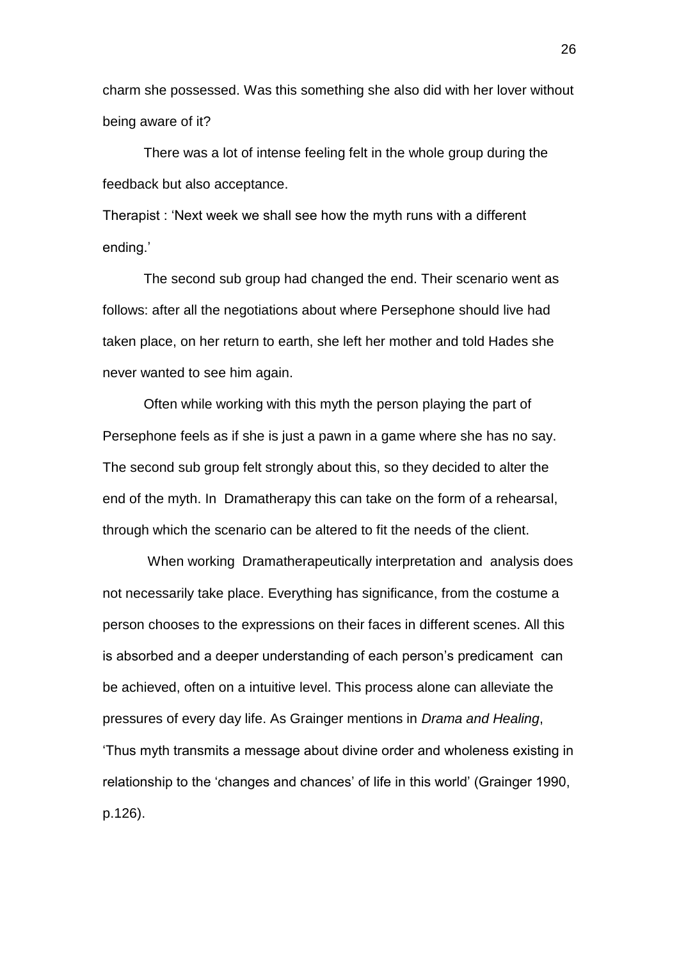charm she possessed. Was this something she also did with her lover without being aware of it?

There was a lot of intense feeling felt in the whole group during the feedback but also acceptance.

Therapist : 'Next week we shall see how the myth runs with a different ending.'

The second sub group had changed the end. Their scenario went as follows: after all the negotiations about where Persephone should live had taken place, on her return to earth, she left her mother and told Hades she never wanted to see him again.

Often while working with this myth the person playing the part of Persephone feels as if she is just a pawn in a game where she has no say. The second sub group felt strongly about this, so they decided to alter the end of the myth. In Dramatherapy this can take on the form of a rehearsal, through which the scenario can be altered to fit the needs of the client.

When working Dramatherapeutically interpretation and analysis does not necessarily take place. Everything has significance, from the costume a person chooses to the expressions on their faces in different scenes. All this is absorbed and a deeper understanding of each person's predicament can be achieved, often on a intuitive level. This process alone can alleviate the pressures of every day life. As Grainger mentions in *Drama and Healing*, 'Thus myth transmits a message about divine order and wholeness existing in relationship to the 'changes and chances' of life in this world' (Grainger 1990, p.126).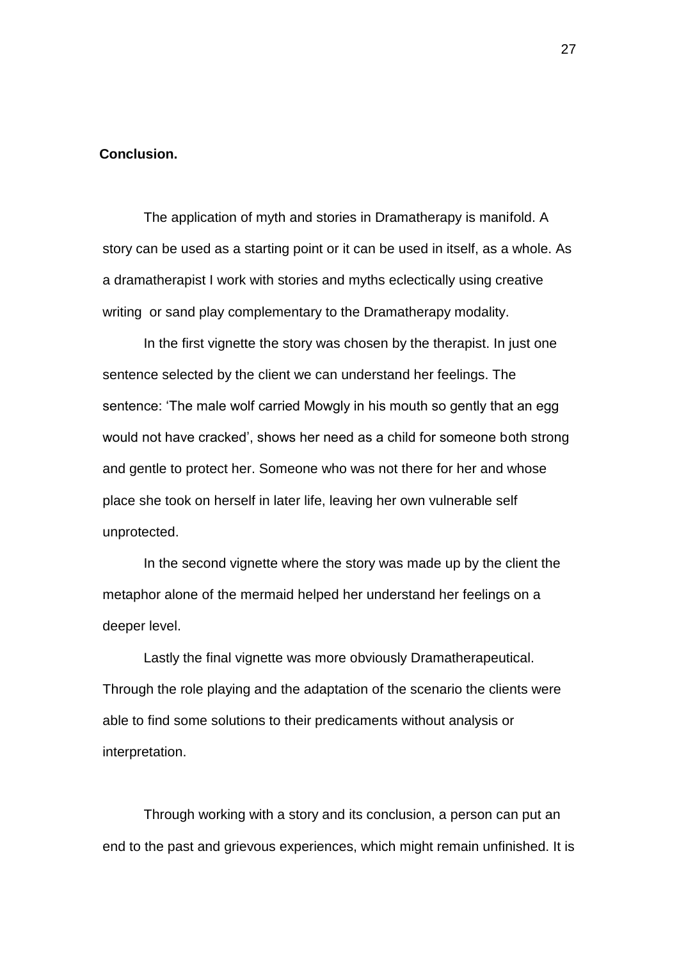#### **Conclusion.**

The application of myth and stories in Dramatherapy is manifold. A story can be used as a starting point or it can be used in itself, as a whole. As a dramatherapist I work with stories and myths eclectically using creative writing or sand play complementary to the Dramatherapy modality.

In the first vignette the story was chosen by the therapist. In just one sentence selected by the client we can understand her feelings. The sentence: 'The male wolf carried Mowgly in his mouth so gently that an egg would not have cracked', shows her need as a child for someone both strong and gentle to protect her. Someone who was not there for her and whose place she took on herself in later life, leaving her own vulnerable self unprotected.

In the second vignette where the story was made up by the client the metaphor alone of the mermaid helped her understand her feelings on a deeper level.

Lastly the final vignette was more obviously Dramatherapeutical. Through the role playing and the adaptation of the scenario the clients were able to find some solutions to their predicaments without analysis or interpretation.

Through working with a story and its conclusion, a person can put an end to the past and grievous experiences, which might remain unfinished. It is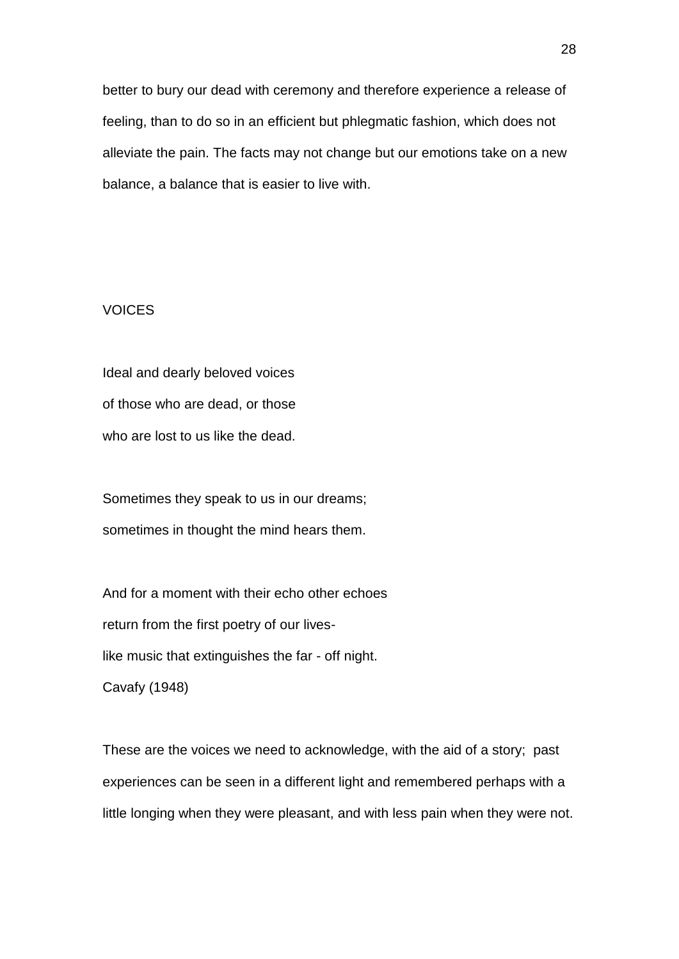better to bury our dead with ceremony and therefore experience a release of feeling, than to do so in an efficient but phlegmatic fashion, which does not alleviate the pain. The facts may not change but our emotions take on a new balance, a balance that is easier to live with.

## **VOICES**

Ideal and dearly beloved voices of those who are dead, or those who are lost to us like the dead.

Sometimes they speak to us in our dreams; sometimes in thought the mind hears them.

And for a moment with their echo other echoes return from the first poetry of our liveslike music that extinguishes the far - off night. Cavafy (1948)

These are the voices we need to acknowledge, with the aid of a story; past experiences can be seen in a different light and remembered perhaps with a little longing when they were pleasant, and with less pain when they were not.